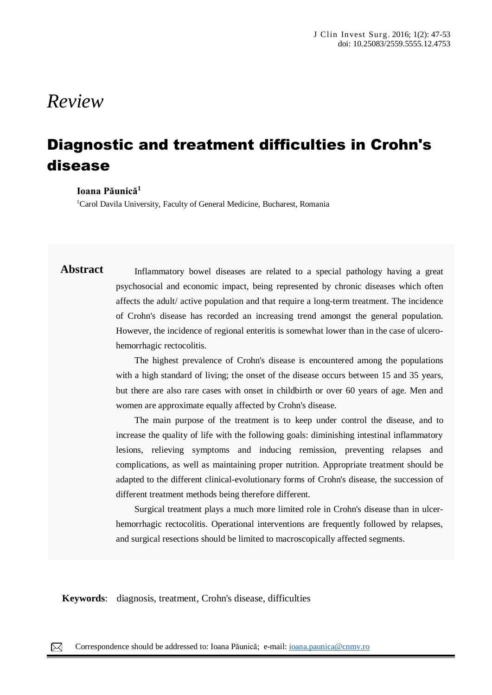# *Review*

# Diagnostic and treatment difficulties in Crohn's disease

#### **Ioana Păunică<sup>1</sup>**

<sup>1</sup>Carol Davila University, Faculty of General Medicine, Bucharest, Romania

## **Abstract** Inflammatory bowel diseases are related to a special pathology having a great psychosocial and economic impact, being represented by chronic diseases which often affects the adult/ active population and that require a long-term treatment. The incidence of Crohn's disease has recorded an increasing trend amongst the general population. However, the incidence of regional enteritis is somewhat lower than in the case of ulcerohemorrhagic rectocolitis.

The highest prevalence of Crohn's disease is encountered among the populations with a high standard of living; the onset of the disease occurs between 15 and 35 years, but there are also rare cases with onset in childbirth or over 60 years of age. Men and women are approximate equally affected by Crohn's disease.

The main purpose of the treatment is to keep under control the disease, and to increase the quality of life with the following goals: diminishing intestinal inflammatory lesions, relieving symptoms and inducing remission, preventing relapses and complications, as well as maintaining proper nutrition. Appropriate treatment should be adapted to the different clinical-evolutionary forms of Crohn's disease, the succession of different treatment methods being therefore different.

Surgical treatment plays a much more limited role in Crohn's disease than in ulcerhemorrhagic rectocolitis. Operational interventions are frequently followed by relapses, and surgical resections should be limited to macroscopically affected segments.

**Keywords**: diagnosis, treatment, Crohn's disease, difficulties

papules, pustules, nodules and sometimes hematic or meliceric crusts, located on the face, trunk, neck, arms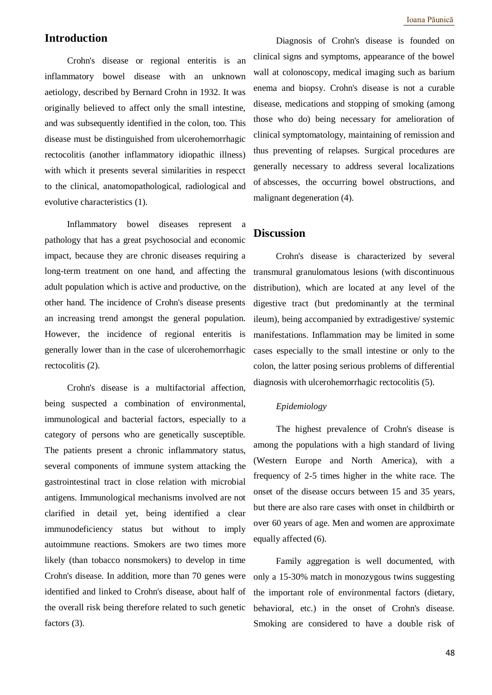### **Introduction**

Crohn's disease or regional enteritis is an inflammatory bowel disease with an unknown aetiology, described by Bernard Crohn in 1932. It was originally believed to affect only the small intestine, and was subsequently identified in the colon, too. This disease must be distinguished from ulcerohemorrhagic rectocolitis (another inflammatory idiopathic illness) with which it presents several similarities in respecct to the clinical, anatomopathological, radiological and evolutive characteristics (1).

Inflammatory bowel diseases represent a pathology that has a great psychosocial and economic impact, because they are chronic diseases requiring a long-term treatment on one hand, and affecting the adult population which is active and productive, on the other hand. The incidence of Crohn's disease presents an increasing trend amongst the general population. However, the incidence of regional enteritis is generally lower than in the case of ulcerohemorrhagic rectocolitis (2).

Crohn's disease is a multifactorial affection, being suspected a combination of environmental, immunological and bacterial factors, especially to a category of persons who are genetically susceptible. The patients present a chronic inflammatory status, several components of immune system attacking the gastrointestinal tract in close relation with microbial antigens. Immunological mechanisms involved are not clarified in detail yet, being identified a clear immunodeficiency status but without to imply autoimmune reactions. Smokers are two times more likely (than tobacco nonsmokers) to develop in time Crohn's disease. In addition, more than 70 genes were identified and linked to Crohn's disease, about half of the overall risk being therefore related to such genetic factors (3).

Diagnosis of Crohn's disease is founded on clinical signs and symptoms, appearance of the bowel wall at colonoscopy, medical imaging such as barium enema and biopsy. Crohn's disease is not a curable disease, medications and stopping of smoking (among those who do) being necessary for amelioration of clinical symptomatology, maintaining of remission and thus preventing of relapses. Surgical procedures are generally necessary to address several localizations of abscesses, the occurring bowel obstructions, and malignant degeneration (4).

#### **Discussion**

Crohn's disease is characterized by several transmural granulomatous lesions (with discontinuous distribution), which are located at any level of the digestive tract (but predominantly at the terminal ileum), being accompanied by extradigestive/ systemic manifestations. Inflammation may be limited in some cases especially to the small intestine or only to the colon, the latter posing serious problems of differential diagnosis with ulcerohemorrhagic rectocolitis (5).

#### *Epidemiology*

The highest prevalence of Crohn's disease is among the populations with a high standard of living (Western Europe and North America), with a frequency of 2-5 times higher in the white race. The onset of the disease occurs between 15 and 35 years, but there are also rare cases with onset in childbirth or over 60 years of age. Men and women are approximate equally affected (6).

Family aggregation is well documented, with only a 15-30% match in monozygous twins suggesting the important role of environmental factors (dietary, behavioral, etc.) in the onset of Crohn's disease. Smoking are considered to have a double risk of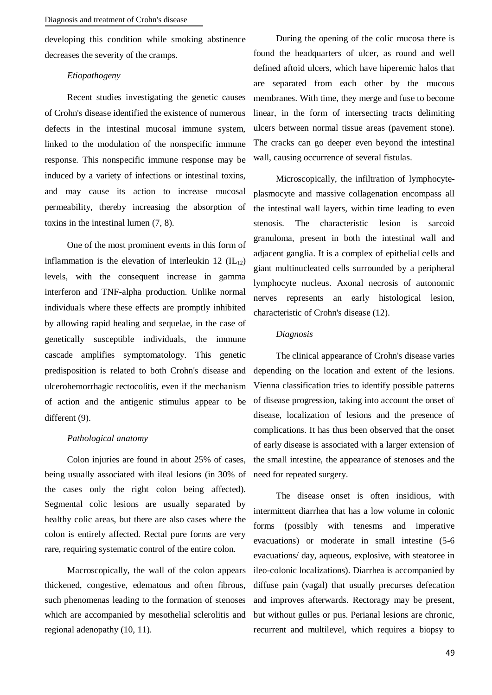developing this condition while smoking abstinence decreases the severity of the cramps.

#### *Etiopathogeny*

Recent studies investigating the genetic causes of Crohn's disease identified the existence of numerous defects in the intestinal mucosal immune system, linked to the modulation of the nonspecific immune response. This nonspecific immune response may be induced by a variety of infections or intestinal toxins, and may cause its action to increase mucosal permeability, thereby increasing the absorption of toxins in the intestinal lumen (7, 8).

One of the most prominent events in this form of inflammation is the elevation of interleukin 12  $(IL_{12})$ levels, with the consequent increase in gamma interferon and TNF-alpha production. Unlike normal individuals where these effects are promptly inhibited by allowing rapid healing and sequelae, in the case of genetically susceptible individuals, the immune cascade amplifies symptomatology. This genetic predisposition is related to both Crohn's disease and ulcerohemorrhagic rectocolitis, even if the mechanism of action and the antigenic stimulus appear to be different (9).

#### *Pathological anatomy*

Colon injuries are found in about 25% of cases, being usually associated with ileal lesions (in 30% of the cases only the right colon being affected). Segmental colic lesions are usually separated by healthy colic areas, but there are also cases where the colon is entirely affected. Rectal pure forms are very rare, requiring systematic control of the entire colon.

Macroscopically, the wall of the colon appears thickened, congestive, edematous and often fibrous, such phenomenas leading to the formation of stenoses which are accompanied by mesothelial sclerolitis and regional adenopathy (10, 11).

During the opening of the colic mucosa there is found the headquarters of ulcer, as round and well defined aftoid ulcers, which have hiperemic halos that are separated from each other by the mucous membranes. With time, they merge and fuse to become linear, in the form of intersecting tracts delimiting ulcers between normal tissue areas (pavement stone). The cracks can go deeper even beyond the intestinal wall, causing occurrence of several fistulas.

Microscopically, the infiltration of lymphocyteplasmocyte and massive collagenation encompass all the intestinal wall layers, within time leading to even stenosis. The characteristic lesion is sarcoid granuloma, present in both the intestinal wall and adjacent ganglia. It is a complex of epithelial cells and giant multinucleated cells surrounded by a peripheral lymphocyte nucleus. Axonal necrosis of autonomic nerves represents an early histological lesion, characteristic of Crohn's disease (12).

#### *Diagnosis*

The clinical appearance of Crohn's disease varies depending on the location and extent of the lesions. Vienna classification tries to identify possible patterns of disease progression, taking into account the onset of disease, localization of lesions and the presence of complications. It has thus been observed that the onset of early disease is associated with a larger extension of the small intestine, the appearance of stenoses and the need for repeated surgery.

The disease onset is often insidious, with intermittent diarrhea that has a low volume in colonic forms (possibly with tenesms and imperative evacuations) or moderate in small intestine (5-6 evacuations/ day, aqueous, explosive, with steatoree in ileo-colonic localizations). Diarrhea is accompanied by diffuse pain (vagal) that usually precurses defecation and improves afterwards. Rectoragy may be present, but without gulles or pus. Perianal lesions are chronic, recurrent and multilevel, which requires a biopsy to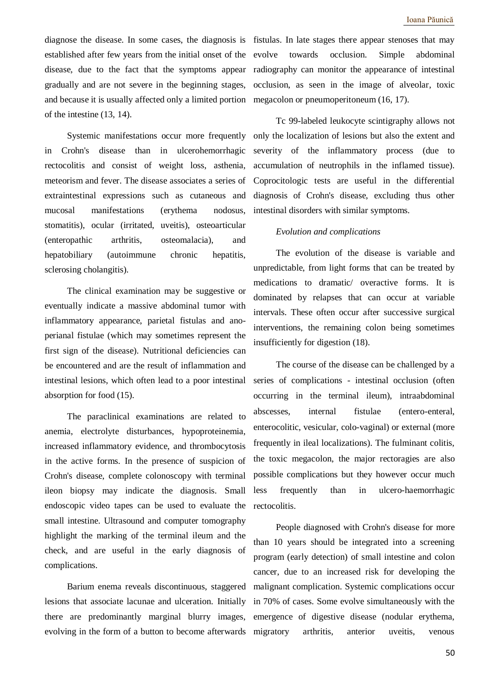diagnose the disease. In some cases, the diagnosis is fistulas. In late stages there appear stenoses that may established after few years from the initial onset of the disease, due to the fact that the symptoms appear gradually and are not severe in the beginning stages, and because it is usually affected only a limited portion of the intestine (13, 14).

Systemic manifestations occur more frequently in Crohn's disease than in ulcerohemorrhagic rectocolitis and consist of weight loss, asthenia, meteorism and fever. The disease associates a series of extraintestinal expressions such as cutaneous and mucosal manifestations (erythema nodosus, stomatitis), ocular (irritated, uveitis), osteoarticular (enteropathic arthritis, osteomalacia), and hepatobiliary (autoimmune chronic hepatitis, sclerosing cholangitis).

The clinical examination may be suggestive or eventually indicate a massive abdominal tumor with inflammatory appearance, parietal fistulas and anoperianal fistulae (which may sometimes represent the first sign of the disease). Nutritional deficiencies can be encountered and are the result of inflammation and intestinal lesions, which often lead to a poor intestinal absorption for food (15).

The paraclinical examinations are related to anemia, electrolyte disturbances, hypoproteinemia, increased inflammatory evidence, and thrombocytosis in the active forms. In the presence of suspicion of Crohn's disease, complete colonoscopy with terminal ileon biopsy may indicate the diagnosis. Small endoscopic video tapes can be used to evaluate the small intestine. Ultrasound and computer tomography highlight the marking of the terminal ileum and the check, and are useful in the early diagnosis of complications.

Barium enema reveals discontinuous, staggered lesions that associate lacunae and ulceration. Initially there are predominantly marginal blurry images, evolving in the form of a button to become afterwards

evolve towards occlusion. Simple abdominal radiography can monitor the appearance of intestinal occlusion, as seen in the image of alveolar, toxic megacolon or pneumoperitoneum (16, 17).

Tc 99-labeled leukocyte scintigraphy allows not only the localization of lesions but also the extent and severity of the inflammatory process (due to accumulation of neutrophils in the inflamed tissue). Coprocitologic tests are useful in the differential diagnosis of Crohn's disease, excluding thus other intestinal disorders with similar symptoms.

#### *Evolution and complications*

The evolution of the disease is variable and unpredictable, from light forms that can be treated by medications to dramatic/ overactive forms. It is dominated by relapses that can occur at variable intervals. These often occur after successive surgical interventions, the remaining colon being sometimes insufficiently for digestion (18).

The course of the disease can be challenged by a series of complications - intestinal occlusion (often occurring in the terminal ileum), intraabdominal abscesses, internal fistulae (entero-enteral, enterocolitic, vesicular, colo-vaginal) or external (more frequently in ileal localizations). The fulminant colitis, the toxic megacolon, the major rectoragies are also possible complications but they however occur much less frequently than in ulcero-haemorrhagic rectocolitis.

People diagnosed with Crohn's disease for more than 10 years should be integrated into a screening program (early detection) of small intestine and colon cancer, due to an increased risk for developing the malignant complication. Systemic complications occur in 70% of cases. Some evolve simultaneously with the emergence of digestive disease (nodular erythema, migratory arthritis, anterior uveitis, venous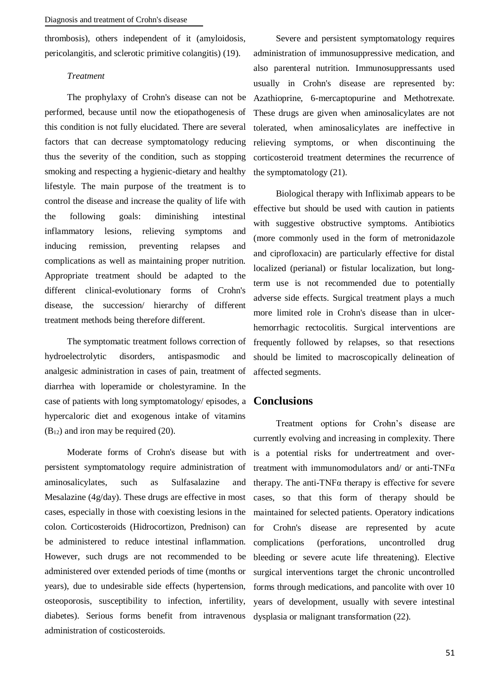thrombosis), others independent of it (amyloidosis, pericolangitis, and sclerotic primitive colangitis) (19).

#### *Treatment*

The prophylaxy of Crohn's disease can not be performed, because until now the etiopathogenesis of this condition is not fully elucidated. There are several factors that can decrease symptomatology reducing thus the severity of the condition, such as stopping smoking and respecting a hygienic-dietary and healthy lifestyle. The main purpose of the treatment is to control the disease and increase the quality of life with the following goals: diminishing intestinal inflammatory lesions, relieving symptoms and inducing remission, preventing relapses and complications as well as maintaining proper nutrition. Appropriate treatment should be adapted to the different clinical-evolutionary forms of Crohn's disease, the succession/ hierarchy of different treatment methods being therefore different.

The symptomatic treatment follows correction of hydroelectrolytic disorders, antispasmodic and analgesic administration in cases of pain, treatment of diarrhea with loperamide or cholestyramine. In the case of patients with long symptomatology/ episodes, a **Conclusions** hypercaloric diet and exogenous intake of vitamins  $(B_{12})$  and iron may be required (20).

Moderate forms of Crohn's disease but with persistent symptomatology require administration of aminosalicylates, such as Sulfasalazine and Mesalazine (4g/day). These drugs are effective in most cases, especially in those with coexisting lesions in the colon. Corticosteroids (Hidrocortizon, Prednison) can be administered to reduce intestinal inflammation. However, such drugs are not recommended to be administered over extended periods of time (months or years), due to undesirable side effects (hypertension, osteoporosis, susceptibility to infection, infertility, diabetes). Serious forms benefit from intravenous administration of costicosteroids.

Severe and persistent symptomatology requires administration of immunosuppressive medication, and also parenteral nutrition. Immunosuppressants used usually in Crohn's disease are represented by: Azathioprine, 6-mercaptopurine and Methotrexate. These drugs are given when aminosalicylates are not tolerated, when aminosalicylates are ineffective in relieving symptoms, or when discontinuing the corticosteroid treatment determines the recurrence of the symptomatology (21).

Biological therapy with Infliximab appears to be effective but should be used with caution in patients with suggestive obstructive symptoms. Antibiotics (more commonly used in the form of metronidazole and ciprofloxacin) are particularly effective for distal localized (perianal) or fistular localization, but longterm use is not recommended due to potentially adverse side effects. Surgical treatment plays a much more limited role in Crohn's disease than in ulcerhemorrhagic rectocolitis. Surgical interventions are frequently followed by relapses, so that resections should be limited to macroscopically delineation of affected segments.

Treatment options for Crohn's disease are currently evolving and increasing in complexity. There is a potential risks for undertreatment and overtreatment with immunomodulators and/ or anti-TNF $\alpha$ therapy. The anti-TNF $\alpha$  therapy is effective for severe cases, so that this form of therapy should be maintained for selected patients. Operatory indications for Crohn's disease are represented by acute complications (perforations, uncontrolled drug bleeding or severe acute life threatening). Elective surgical interventions target the chronic uncontrolled forms through medications, and pancolite with over 10 years of development, usually with severe intestinal dysplasia or malignant transformation (22).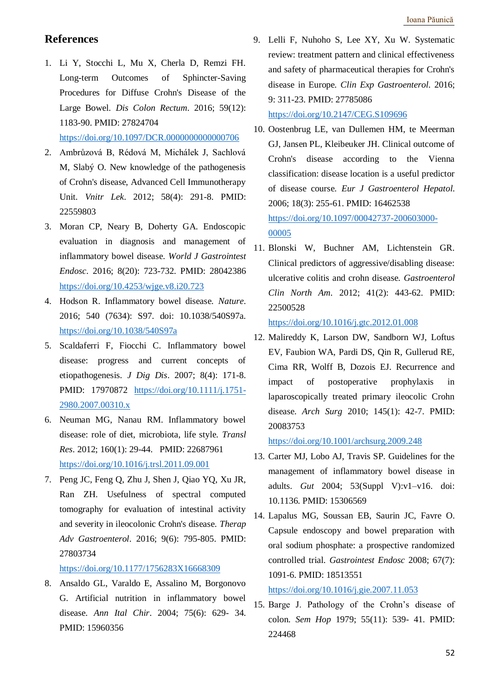### **References**

- 1. Li Y, Stocchi L, Mu X, Cherla D, Remzi FH. Long-term Outcomes of Sphincter-Saving Procedures for Diffuse Crohn's Disease of the Large Bowel. *Dis Colon Rectum*. 2016; 59(12): 1183-90. PMID: 27824704 <https://doi.org/10.1097/DCR.0000000000000706>
- 2. Ambrůzová B, Rédová M, Michálek J, Sachlová M, Slabý O. New knowledge of the pathogenesis of Crohn's disease, Advanced Cell Immunotherapy Unit. *Vnitr Lek*. 2012; 58(4): 291-8. PMID: 22559803
- 3. Moran CP, Neary B, Doherty GA. Endoscopic evaluation in diagnosis and management of inflammatory bowel disease. *World J Gastrointest Endosc*. 2016; 8(20): 723-732. PMID: 28042386 <https://doi.org/10.4253/wjge.v8.i20.723>
- 4. Hodson R. Inflammatory bowel disease. *Nature*. 2016; 540 (7634): S97. doi: 10.1038/540S97a. <https://doi.org/10.1038/540S97a>
- 5. Scaldaferri F, Fiocchi C. Inflammatory bowel disease: progress and current concepts of etiopathogenesis. *J Dig Dis*. 2007; 8(4): 171-8. PMID: 17970872 [https://doi.org/10.1111/j.1751-](https://doi.org/10.1111/j.1751-2980.2007.00310.x) [2980.2007.00310.x](https://doi.org/10.1111/j.1751-2980.2007.00310.x)
- 6. Neuman MG, Nanau RM. Inflammatory bowel disease: role of diet, microbiota, life style. *Transl Res*. 2012; 160(1): 29-44. PMID: 22687961 <https://doi.org/10.1016/j.trsl.2011.09.001>
- 7. Peng JC, Feng Q, Zhu J, Shen J, Qiao YQ, Xu JR, Ran ZH. Usefulness of spectral computed tomography for evaluation of intestinal activity and severity in ileocolonic Crohn's disease. *Therap Adv Gastroenterol*. 2016; 9(6): 795-805. PMID: 27803734

<https://doi.org/10.1177/1756283X16668309>

8. Ansaldo GL, Varaldo E, Assalino M, Borgonovo G. Artificial nutrition in inflammatory bowel disease. *Ann Ital Chir*. 2004; 75(6): 629- 34. PMID: 15960356

9. Lelli F, Nuhoho S, Lee XY, Xu W. Systematic review: treatment pattern and clinical effectiveness and safety of pharmaceutical therapies for Crohn's disease in Europe. *Clin Exp Gastroenterol*. 2016; 9: 311-23. PMID: 27785086

<https://doi.org/10.2147/CEG.S109696>

- 10. Oostenbrug LE, van Dullemen HM, te Meerman GJ, Jansen PL, Kleibeuker JH. Clinical outcome of Crohn's disease according to the Vienna classification: disease location is a useful predictor of disease course. *Eur J Gastroenterol Hepatol*. 2006; 18(3): 255-61. PMID: 16462538 [https://doi.org/10.1097/00042737-200603000-](https://doi.org/10.1097/00042737-200603000-00005) [00005](https://doi.org/10.1097/00042737-200603000-00005)
- 11. Blonski W, Buchner AM, Lichtenstein GR. Clinical predictors of aggressive/disabling disease: ulcerative colitis and crohn disease. *Gastroenterol Clin North Am*. 2012; 41(2): 443-62. PMID: 22500528

<https://doi.org/10.1016/j.gtc.2012.01.008>

12. Malireddy K, Larson DW, Sandborn WJ, Loftus EV, Faubion WA, Pardi DS, Qin R, Gullerud RE, Cima RR, Wolff B, Dozois EJ. Recurrence and impact of postoperative prophylaxis in laparoscopically treated primary ileocolic Crohn disease. *Arch Surg* 2010; 145(1): 42-7. PMID: 20083753

<https://doi.org/10.1001/archsurg.2009.248>

- 13. Carter MJ, Lobo AJ, Travis SP. Guidelines for the management of inflammatory bowel disease in adults. *Gut* 2004; 53(Suppl V):v1–v16. doi: 10.1136. PMID: 15306569
- 14. Lapalus MG, Soussan EB, Saurin JC, Favre O. Capsule endoscopy and bowel preparation with oral sodium phosphate: a prospective randomized controlled trial. *Gastrointest Endosc* 2008; 67(7): 1091-6. PMID: 18513551

<https://doi.org/10.1016/j.gie.2007.11.053>

15. Barge J. Pathology of the Crohn's disease of colon. *Sem Hop* 1979; 55(11): 539- 41. PMID: 224468